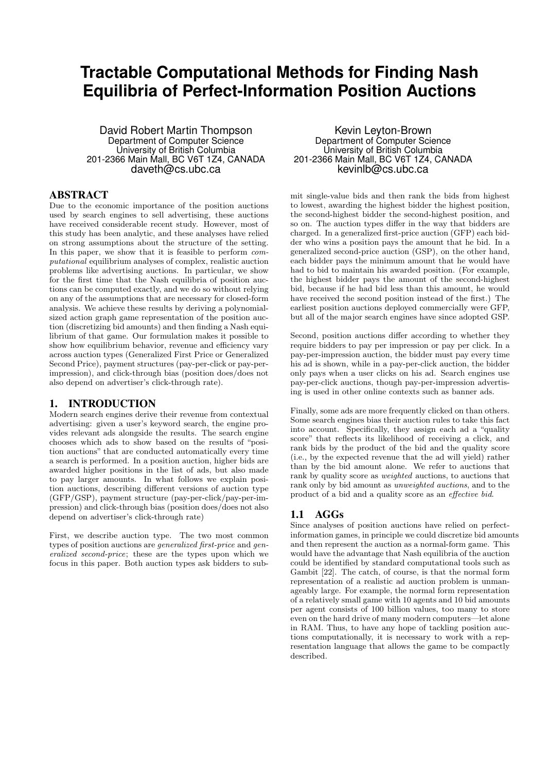# **Tractable Computational Methods for Finding Nash Equilibria of Perfect-Information Position Auctions**

David Robert Martin Thompson Department of Computer Science University of British Columbia 201-2366 Main Mall, BC V6T 1Z4, CANADA daveth@cs.ubc.ca

# ABSTRACT

Due to the economic importance of the position auctions used by search engines to sell advertising, these auctions have received considerable recent study. However, most of this study has been analytic, and these analyses have relied on strong assumptions about the structure of the setting. In this paper, we show that it is feasible to perform computational equilibrium analyses of complex, realistic auction problems like advertising auctions. In particular, we show for the first time that the Nash equilibria of position auctions can be computed exactly, and we do so without relying on any of the assumptions that are necessary for closed-form analysis. We achieve these results by deriving a polynomialsized action graph game representation of the position auction (discretizing bid amounts) and then finding a Nash equilibrium of that game. Our formulation makes it possible to show how equilibrium behavior, revenue and efficiency vary across auction types (Generalized First Price or Generalized Second Price), payment structures (pay-per-click or pay-perimpression), and click-through bias (position does/does not also depend on advertiser's click-through rate).

# 1. INTRODUCTION

Modern search engines derive their revenue from contextual advertising: given a user's keyword search, the engine provides relevant ads alongside the results. The search engine chooses which ads to show based on the results of "position auctions" that are conducted automatically every time a search is performed. In a position auction, higher bids are awarded higher positions in the list of ads, but also made to pay larger amounts. In what follows we explain position auctions, describing different versions of auction type (GFP/GSP), payment structure (pay-per-click/pay-per-impression) and click-through bias (position does/does not also depend on advertiser's click-through rate)

First, we describe auction type. The two most common types of position auctions are generalized first-price and generalized second-price; these are the types upon which we focus in this paper. Both auction types ask bidders to sub-

Kevin Leyton-Brown Department of Computer Science University of British Columbia 201-2366 Main Mall, BC V6T 1Z4, CANADA kevinlb@cs.ubc.ca

mit single-value bids and then rank the bids from highest to lowest, awarding the highest bidder the highest position, the second-highest bidder the second-highest position, and so on. The auction types differ in the way that bidders are charged. In a generalized first-price auction (GFP) each bidder who wins a position pays the amount that he bid. In a generalized second-price auction (GSP), on the other hand, each bidder pays the minimum amount that he would have had to bid to maintain his awarded position. (For example, the highest bidder pays the amount of the second-highest bid, because if he had bid less than this amount, he would have received the second position instead of the first.) The earliest position auctions deployed commercially were GFP, but all of the major search engines have since adopted GSP.

Second, position auctions differ according to whether they require bidders to pay per impression or pay per click. In a pay-per-impression auction, the bidder must pay every time his ad is shown, while in a pay-per-click auction, the bidder only pays when a user clicks on his ad. Search engines use pay-per-click auctions, though pay-per-impression advertising is used in other online contexts such as banner ads.

Finally, some ads are more frequently clicked on than others. Some search engines bias their auction rules to take this fact into account. Specifically, they assign each ad a "quality score" that reflects its likelihood of receiving a click, and rank bids by the product of the bid and the quality score (i.e., by the expected revenue that the ad will yield) rather than by the bid amount alone. We refer to auctions that rank by quality score as weighted auctions, to auctions that rank only by bid amount as unweighted auctions, and to the product of a bid and a quality score as an effective bid.

# 1.1 AGGs

Since analyses of position auctions have relied on perfectinformation games, in principle we could discretize bid amounts and then represent the auction as a normal-form game. This would have the advantage that Nash equilibria of the auction could be identified by standard computational tools such as Gambit [22]. The catch, of course, is that the normal form representation of a realistic ad auction problem is unmanageably large. For example, the normal form representation of a relatively small game with 10 agents and 10 bid amounts per agent consists of 100 billion values, too many to store even on the hard drive of many modern computers—let alone in RAM. Thus, to have any hope of tackling position auctions computationally, it is necessary to work with a representation language that allows the game to be compactly described.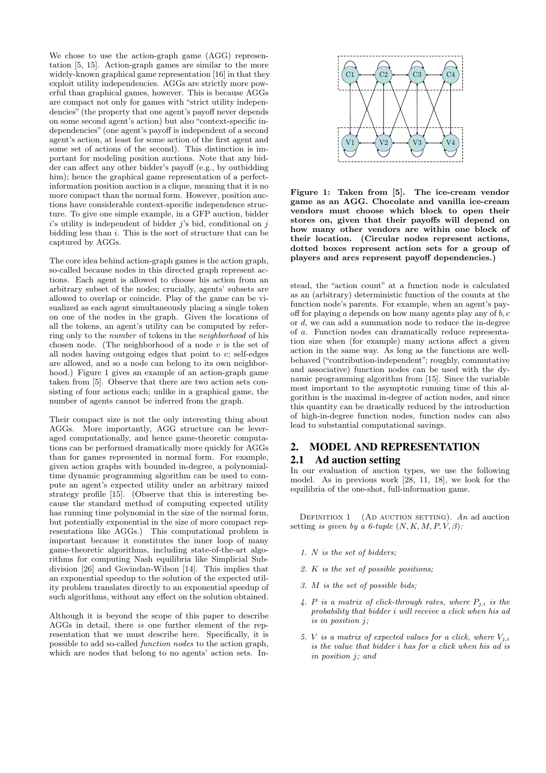We chose to use the action-graph game (AGG) representation  $[5, 15]$ . Action-graph games are similar to the more widely-known graphical game representation [16] in that they exploit utility independencies. AGGs are strictly more powerful than graphical games, however. This is because AGGs are compact not only for games with "strict utility indepen-4 2 5 dencies" (the property that one agent's payoff never depends on some second agent's action) but also "context-specific independencies" (one agent's payoff is independent of a second agent's action, at least for some action of the first agent and agent's action, at least for some action of the inst agent and<br>some set of actions of the second). This distinction is important for modeling position auctions. Note that any bidder can affect any other bidder's payoff (e.g., by outbidding him); hence the graphical game representation of a perfectinformation position auction is a clique, meaning that it is no mormation position auction is a chique, meaning that it is no<br>more compact than the normal form. However, position auc-<br> $\mathbf{F}$ tions have considerable context-specific independence structure. To give one simple example, in a GFP auction, bidder *i*'s utility is independent of bidder *j*'s bid, conditional on *j* bidding less than i. This is the sort of structure that can be captured by AGGs.

The core idea behind action-graph games is the action graph, so-called because nodes in this directed graph represent acso-caned because nodes in this directed graph represent actions. Each agent is allowed to choose his action from an arbitrary subset of the nodes; crucially, agents' subsets are allowed to overlap or coincide. Play of the game can be visualized as each agent simultaneously placing a single token on one of the nodes in the graph. Given the locations of all the tokens, an agent's utility can be computed by referring only to the number of tokens in the neighborhood of his thing only to the *number* of tokens in the *neighborhood* of inscheen node. (The neighborhood of a node  $v$  is the set of all nodes having outgoing edges that point to  $v$ ; self-edges are allowed, and so a node can belong to its own neighborhood.) Figure 1 gives an example of an action-graph game taken from [5]. Observe that there are two action sets consisting of four actions each; unlike in a graphical game, the number of agents cannot be inferred from the graph. *vendors in the same or neighboring locations, and are si-*The core idea behind action-graph games is the action graph, <sup>1</sup>

Their compact size is not the only interesting thing about AGGs. More importantly, AGG structure can be lever-AGGs. More importantly, AGG structure can be lever-<br>aged computationally, and hence game-theoretic computations can be performed dramatically more quickly for AGGs than for games represented in normal form. For example, given action graphs with bounded in-degree, a polynomialtime dynamic programming algorithm can be used to compute an agent's expected utility under an arbitrary mixed strategy profile  $[15]$ . (Observe that this is interesting because the standard method of computing expected utility has running time polynomial in the size of the normal form, but potentially exponential in the size of more compact rep-<br>according the probability of  $GG_2$ . This computational and less is resentations like AGGs.) This computational problem is important because it constitutes the inner loop of many game-theoretic algorithms, including state-of-the-art algorithms for computing Nash equilibria like Simplicial Subrithms for computing Nash equilibrita like Simplicial Subdivision [26] and Govindan-Wilson [14]. This implies that an exponential speedup to the solution of the expected util-<br>an exponential speedup to the solution of the expected utility problem translates directly to an exponential speedup of such algorithms, without any effect on the solution obtained.  $t$ ility  $\lim_{\alpha \to \infty}$  and  $\lim_{\alpha \to \infty}$ 

Although it is beyond the scope of this paper to describe AGGs in detail, there is one further element of the rep-AGGS in detail, there is one further element of the representation that we must describe here. Specifically, it is possible to add so-called *function nodes* to the action graph, positive to data so cancel *juncture to set* the detection graph, which are nodes that belong to no agents' action sets. In $s_{\rm eff}$  the subscript  $\sim$  the subscript  $\sim$ Although it is beyond the scope of this paper to  $\overline{\mathbf{B}}$ 



Figure 1: Taken from [5]. The ice-cream vendor  $\frac{d}{d}$  stores on, given that their payoffs will depend on n be the expected unit of the expected utility of their location. (Circular nodes represent actions, dotted boxes represent action sets for a group of players and arcs represent payoff dependencies.) game as an AGG. Chocolate and vanilla ice-cream vendors must choose which block to open their how many other vendors are within one block of

stead, the "action count" at a function node is calculated stead, the action count at a function node is calculated<br>as an (arbitrary) deterministic function of the counts at the function node's parents. For example, when an agent's pay- $\begin{array}{c}\n\text{if } d, \text{ we can add a summation node to reduce the in-degree}\n\text{; } \\
\text{if } a \text{ -Function nodes on } \text{dromatically reduce represents}\n\end{array}$  $\frac{d}{dt}$  is  $\frac{d}{dt}$  tion size when (for example) many actions affect a given of a. Function nodes can dramatically reduce representa- $\frac{\partial u}{\partial \cos \theta}$  action in the same way. As long as the functions are wellnamic programming algorithm from [15]. Since the variable worst in programming the variable most important to the asymptotic running time of this al $h_{\text{out}}$  of high-in-degree function nodes, function nodes can also off for playing  $a$  depends on how many agents play any of  $b, c$ behaved ("contribution-independent"; roughly, commutative and associative) function nodes can be used with the dygorithm is the maximal in-degree of action nodes, and since this quantity can be drastically reduced by the introduction lead to substantial computational savings.

# 2. MODEL AND REPRESENTATION 2.1 Ad auction setting

 $F<sub>com</sub>$  In our evaluation of auction types, we use the following and integral and space. As in previous work  $[28, 11, 18]$ , we look for the  $\epsilon_i$  be-<br>be-<br>identified by the one-shot, full-information game.

 $\lim_{n \to \infty}$  DEFINITION 1 (AD AUCTION SETTING). An ad auction rep-<br>m is setting is given by a 6-tuple  $(N, K, M, P, V, \beta)$ :

- 1. N is the set of bidders;  $\text{Sub-}$   $\cdots$  is the set of states,
- that  $\qquad \qquad 2. K \text{ is the set of possible positions};$ 
	- 3. M is the set of possible bids;
	- 4. P is a matrix of click-through rates, where  $P_{j,i}$  is the  $\alpha$  matrix  $\epsilon$  of state integrations bability that bidder i will rece  $is$  in position  $j$ ; probability that bidder i will receive a click when his ad<br>is in position  $j$ ;
- In-<br>
in position j; and  $\overline{\text{is the value that bidder } i \text{ has for a click when his ad is}$ <br>in nosition i: and 5. V is a matrix of expected values for a click, where  $V_{j,i}$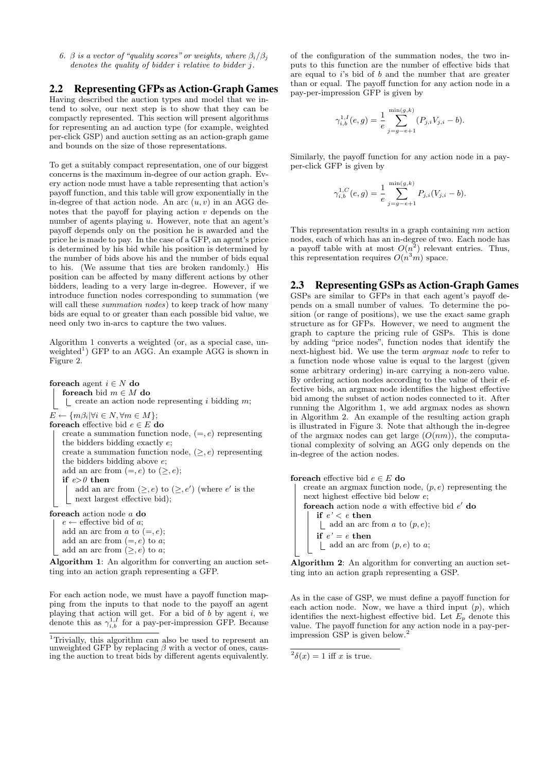6.  $\beta$  is a vector of "quality scores" or weights, where  $\beta_i/\beta_j$ denotes the quality of bidder i relative to bidder j.

# 2.2 Representing GFPs as Action-Graph Games

Having described the auction types and model that we intend to solve, our next step is to show that they can be compactly represented. This section will present algorithms for representing an ad auction type (for example, weighted per-click GSP) and auction setting as an action-graph game and bounds on the size of those representations.

To get a suitably compact representation, one of our biggest concerns is the maximum in-degree of our action graph. Every action node must have a table representing that action's payoff function, and this table will grow exponentially in the in-degree of that action node. An arc  $(u, v)$  in an AGG denotes that the payoff for playing action  $v$  depends on the number of agents playing u. However, note that an agent's payoff depends only on the position he is awarded and the price he is made to pay. In the case of a GFP, an agent's price is determined by his bid while his position is determined by the number of bids above his and the number of bids equal to his. (We assume that ties are broken randomly.) His position can be affected by many different actions by other bidders, leading to a very large in-degree. However, if we introduce function nodes corresponding to summation (we will call these summation nodes) to keep track of how many bids are equal to or greater than each possible bid value, we need only two in-arcs to capture the two values.

Algorithm 1 converts a weighted (or, as a special case, unweighted<sup>1</sup>) GFP to an AGG. An example AGG is shown in Figure 2.

for each agent  $i \in N$  do foreach bid  $m \in M$  do  $\vert$  create an action node representing i bidding m;  $E \leftarrow \{m\beta_i | \forall i \in N, \forall m \in M \};$ foreach effective bid  $e \in E$ do create a summation function node,  $(=, e)$  representing the bidders bidding exactly e; create a summation function node,  $(\geq, e)$  representing the bidders bidding above e; add an arc from  $(=, e)$  to  $(\ge, e)$ ; if  $e>0$  then add an arc from  $(\geq, e)$  to  $(\geq, e')$  (where e' is the next largest effective bid); foreach action node a do

 $e \leftarrow$  effective bid of a; add an arc from  $a$  to  $(=, e);$ add an arc from  $(=, e)$  to a; add an arc from  $(\geq, e)$  to a;

Algorithm 1: An algorithm for converting an auction setting into an action graph representing a GFP.

For each action node, we must have a payoff function mapping from the inputs to that node to the payoff an agent playing that action will get. For a bid of  $b$  by agent  $i$ , we denote this as  $\gamma_{i,b}^{1,I}$  for a pay-per-impression GFP. Because

of the configuration of the summation nodes, the two inputs to this function are the number of effective bids that are equal to  $i$ 's bid of  $b$  and the number that are greater than or equal. The payoff function for any action node in a pay-per-impression GFP is given by

$$
\gamma_{i,b}^{1,I}(e,g) = \frac{1}{e} \sum_{j=g-e+1}^{\min(g,k)} (P_{j,i}V_{j,i} - b).
$$

Similarly, the payoff function for any action node in a payper-click GFP is given by

$$
\gamma_{i,b}^{1,C}(e,g) = \frac{1}{e} \sum_{j=g-e+1}^{\min(g,k)} P_{j,i}(V_{j,i} - b).
$$

This representation results in a graph containing nm action nodes, each of which has an in-degree of two. Each node has a payoff table with at most  $O(n^2)$  relevant entries. Thus, this representation requires  $O(n^3m)$  space.

## 2.3 Representing GSPs as Action-Graph Games

GSPs are similar to GFPs in that each agent's payoff depends on a small number of values. To determine the position (or range of positions), we use the exact same graph structure as for GFPs. However, we need to augment the graph to capture the pricing rule of GSPs. This is done by adding "price nodes", function nodes that identify the next-highest bid. We use the term argmax node to refer to a function node whose value is equal to the largest (given some arbitrary ordering) in-arc carrying a non-zero value. By ordering action nodes according to the value of their effective bids, an argmax node identifies the highest effective bid among the subset of action nodes connected to it. After running the Algorithm 1, we add argmax nodes as shown in Algorithm 2. An example of the resulting action graph is illustrated in Figure 3. Note that although the in-degree of the argmax nodes can get large  $(O(nm))$ , the computational complexity of solving an AGG only depends on the in-degree of the action nodes.

```
foreach effective bid e \in E do
   create an argmax function node, (p, e) representing the
   next highest effective bid below e;
   foreach action node a with effective bid e' do
       if e' < e then
        \lfloor add an arc from a to (p, e);if e' = e then
        \lfloor add an arc from (p, e) to a;
```
Algorithm 2: An algorithm for converting an auction setting into an action graph representing a GSP.

As in the case of GSP, we must define a payoff function for each action node. Now, we have a third input  $(p)$ , which identifies the next-highest effective bid. Let  $E_p$  denote this value. The payoff function for any action node in a pay-perimpression GSP is given below.<sup>2</sup>

 $^{2}\delta(x) = 1$  iff x is true.

<sup>&</sup>lt;sup>1</sup>Trivially, this algorithm can also be used to represent an unweighted GFP by replacing  $\beta$  with a vector of ones, causing the auction to treat bids by different agents equivalently.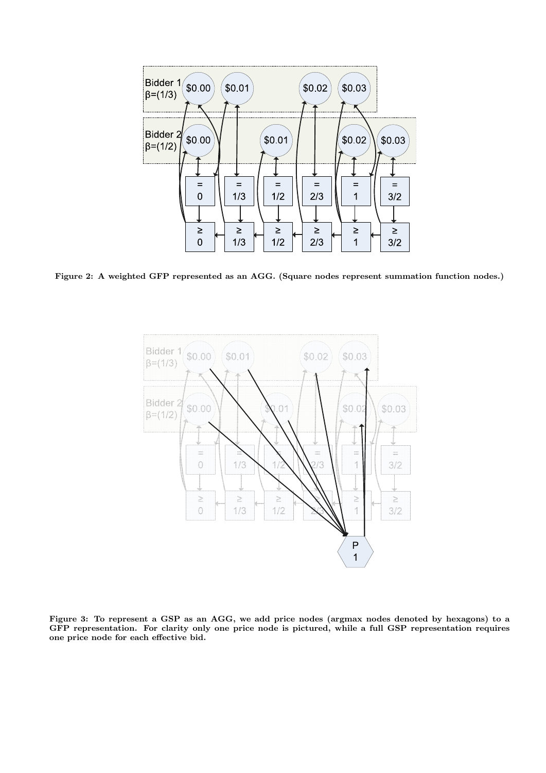

Figure 2: A weighted GFP represented as an AGG. (Square nodes represent summation function nodes.)



Figure 3: To represent a GSP as an AGG, we add price nodes (argmax nodes denoted by hexagons) to a GFP representation. For clarity only one price node is pictured, while a full GSP representation requires one price node for each effective bid.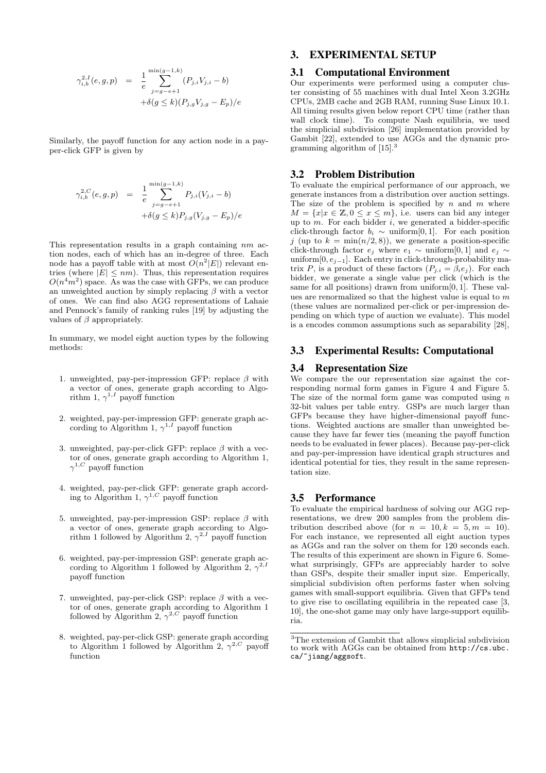$$
\gamma_{i,b}^{2,I}(e,g,p) = \frac{1}{e} \sum_{j=g-e+1}^{\min(g-1,k)} (P_{j,i}V_{j,i} - b) \n+ \delta(g \le k)(P_{j,g}V_{j,g} - E_p)/e
$$

Similarly, the payoff function for any action node in a payper-click GFP is given by

$$
\gamma_{i,b}^{2,C}(e,g,p) = \frac{1}{e} \sum_{j=g-e+1}^{\min(g-1,k)} P_{j,i}(V_{j,i} - b)
$$

$$
+ \delta(g \le k) P_{j,g}(V_{j,g} - E_p)/e
$$

This representation results in a graph containing nm action nodes, each of which has an in-degree of three. Each node has a payoff table with at most  $O(n^2|E|)$  relevant entries (where  $|E| \leq nm$ ). Thus, this representation requires  $O(n^4m^2)$  space. As was the case with GFPs, we can produce an unweighted auction by simply replacing  $\beta$  with a vector of ones. We can find also AGG representations of Lahaie and Pennock's family of ranking rules [19] by adjusting the values of  $\beta$  appropriately.

In summary, we model eight auction types by the following methods:

- 1. unweighted, pay-per-impression GFP: replace  $\beta$  with a vector of ones, generate graph according to Algorithm 1,  $\gamma^{1,I}$  payoff function
- 2. weighted, pay-per-impression GFP: generate graph according to Algorithm 1,  $\gamma^{1,I}$  payoff function
- 3. unweighted, pay-per-click GFP: replace  $\beta$  with a vector of ones, generate graph according to Algorithm 1,  $\gamma^{1,C}$  payoff function
- 4. weighted, pay-per-click GFP: generate graph according to Algorithm 1,  $\gamma^{1,C}$  payoff function
- 5. unweighted, pay-per-impression GSP: replace  $\beta$  with a vector of ones, generate graph according to Algorithm 1 followed by Algorithm 2,  $\gamma^{2,I}$  payoff function
- 6. weighted, pay-per-impression GSP: generate graph according to Algorithm 1 followed by Algorithm 2,  $\gamma^{2,1}$ payoff function
- 7. unweighted, pay-per-click GSP: replace  $\beta$  with a vector of ones, generate graph according to Algorithm 1 followed by Algorithm 2,  $\gamma^{2,C}$  payoff function
- 8. weighted, pay-per-click GSP: generate graph according to Algorithm 1 followed by Algorithm 2,  $\gamma^{2,C}$  payoff function

# 3. EXPERIMENTAL SETUP

#### 3.1 Computational Environment

Our experiments were performed using a computer cluster consisting of 55 machines with dual Intel Xeon 3.2GHz CPUs, 2MB cache and 2GB RAM, running Suse Linux 10.1. All timing results given below report CPU time (rather than wall clock time). To compute Nash equilibria, we used the simplicial subdivision [26] implementation provided by Gambit [22], extended to use AGGs and the dynamic programming algorithm of [15].<sup>3</sup>

#### 3.2 Problem Distribution

To evaluate the empirical performance of our approach, we generate instances from a distribution over auction settings. The size of the problem is specified by n and m where  $M = \{x | x \in \mathbb{Z}, 0 \leq x \leq m\},\$ i.e. users can bid any integer up to  $m$ . For each bidder  $i$ , we generated a bidder-specific click-through factor  $b_i \sim \text{uniform}[0, 1]$ . For each position j (up to  $k = \min(n/2, 8)$ ), we generate a position-specific click-through factor  $e_i$  where  $e_1 \sim$  uniform[0, 1] and  $e_i \sim$ uniform[0,  $e_{i-1}$ ]. Each entry in click-through-probability matrix P, is a product of these factors  $(P_{j,i} = \beta_i e_j)$ . For each bidder, we generate a single value per click (which is the same for all positions) drawn from uniform[0, 1]. These values are renormalized so that the highest value is equal to m (these values are normalized per-click or per-impression depending on which type of auction we evaluate). This model is a encodes common assumptions such as separability [28],

#### 3.3 Experimental Results: Computational

#### 3.4 Representation Size

We compare the our representation size against the corresponding normal form games in Figure 4 and Figure 5. The size of the normal form game was computed using  $n$ 32-bit values per table entry. GSPs are much larger than GFPs because they have higher-dimensional payoff functions. Weighted auctions are smaller than unweighted because they have far fewer ties (meaning the payoff function needs to be evaluated in fewer places). Because pay-per-click and pay-per-impression have identical graph structures and identical potential for ties, they result in the same representation size.

#### 3.5 Performance

To evaluate the empirical hardness of solving our AGG representations, we drew 200 samples from the problem distribution described above (for  $n = 10, k = 5, m = 10$ ). For each instance, we represented all eight auction types as AGGs and ran the solver on them for 120 seconds each. The results of this experiment are shown in Figure 6. Somewhat surprisingly, GFPs are appreciably harder to solve than GSPs, despite their smaller input size. Emperically, simplicial subdivision often performs faster when solving games with small-support equilibria. Given that GFPs tend to give rise to oscillating equilibria in the repeated case [3, 10], the one-shot game may only have large-support equilibria.

<sup>3</sup>The extension of Gambit that allows simplicial subdivision to work with AGGs can be obtained from http://cs.ubc. ca/~jiang/aggsoft.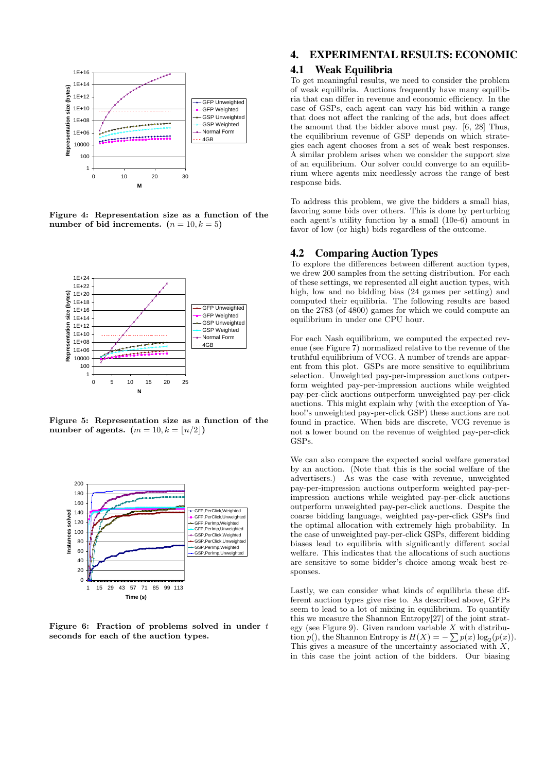

Figure 4: Representation size as a function of the number of bid increments.  $(n = 10, k = 5)$ 



Figure 5: Representation size as a function of the number of agents.  $(m = 10, k = \lfloor n/2 \rfloor)$ 



Figure 6: Fraction of problems solved in under  $t$ seconds for each of the auction types.

## 4. EXPERIMENTAL RESULTS: ECONOMIC

# 4.1 Weak Equilibria

To get meaningful results, we need to consider the problem of weak equilibria. Auctions frequently have many equilibria that can differ in revenue and economic efficiency. In the case of GSPs, each agent can vary his bid within a range that does not affect the ranking of the ads, but does affect the amount that the bidder above must pay. [6, 28] Thus, the equilibrium revenue of GSP depends on which strategies each agent chooses from a set of weak best responses. A similar problem arises when we consider the support size of an equilibrium. Our solver could converge to an equilibrium where agents mix needlessly across the range of best response bids.

To address this problem, we give the bidders a small bias, favoring some bids over others. This is done by perturbing each agent's utility function by a small (10e-6) amount in favor of low (or high) bids regardless of the outcome.

## 4.2 Comparing Auction Types

To explore the differences between different auction types, we drew 200 samples from the setting distribution. For each of these settings, we represented all eight auction types, with high, low and no bidding bias (24 games per setting) and computed their equilibria. The following results are based on the 2783 (of 4800) games for which we could compute an equilibrium in under one CPU hour.

For each Nash equilibrium, we computed the expected revenue (see Figure 7) normalized relative to the revenue of the truthful equilibrium of VCG. A number of trends are apparent from this plot. GSPs are more sensitive to equilibrium selection. Unweighted pay-per-impression auctions outperform weighted pay-per-impression auctions while weighted pay-per-click auctions outperform unweighted pay-per-click auctions. This might explain why (with the exception of Yahoo!'s unweighted pay-per-click GSP) these auctions are not found in practice. When bids are discrete, VCG revenue is not a lower bound on the revenue of weighted pay-per-click GSPs.

We can also compare the expected social welfare generated by an auction. (Note that this is the social welfare of the advertisers.) As was the case with revenue, unweighted pay-per-impression auctions outperform weighted pay-perimpression auctions while weighted pay-per-click auctions outperform unweighted pay-per-click auctions. Despite the coarse bidding language, weighted pay-per-click GSPs find the optimal allocation with extremely high probability. In the case of unweighted pay-per-click GSPs, different bidding biases lead to equilibria with significantly different social welfare. This indicates that the allocations of such auctions are sensitive to some bidder's choice among weak best responses.

Lastly, we can consider what kinds of equilibria these different auction types give rise to. As described above, GFPs seem to lead to a lot of mixing in equilibrium. To quantify this we measure the Shannon Entropy[27] of the joint strategy (see Figure 9). Given random variable  $X$  with distribution  $p()$ , the Shannon Entropy is  $H(X) = -\sum p(x) \log_2(p(x))$ . This gives a measure of the uncertainty associated with  $X$ , in this case the joint action of the bidders. Our biasing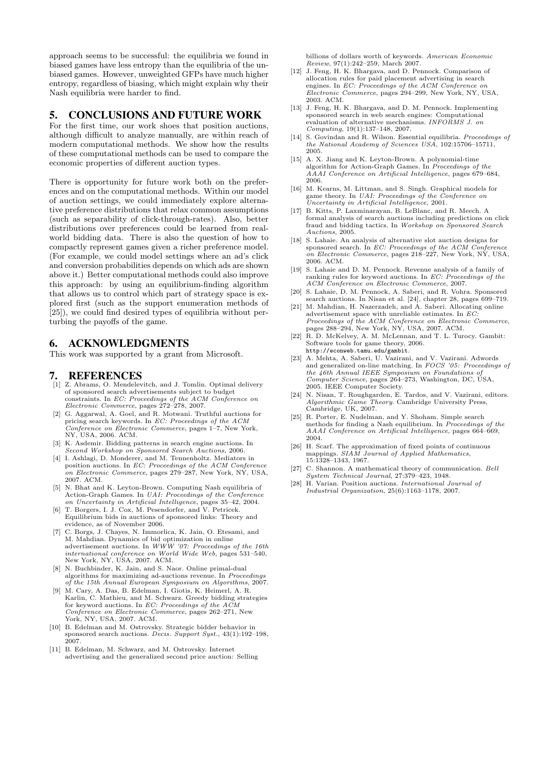approach seems to be successful: the equilibria we found in biased games have less entropy than the equilibria of the unbiased games. However, unweighted GFPs have much higher entropy, regardless of biasing, which might explain why their Nash equilibria were harder to find.

# 5. CONCLUSIONS AND FUTURE WORK

For the first time, our work shoes that position auctions, although difficult to analyze manually, are within reach of modern computational methods. We show how the results of these computational methods can be used to compare the economic properties of different auction types.

There is opportunity for future work both on the preferences and on the computational methods. Within our model of auction settings, we could immediately explore alternative preference distributions that relax common assumptions (such as separability of click-through-rates). Also, better distributions over preferences could be learned from realworld bidding data. There is also the question of how to compactly represent games given a richer preference model. (For example, we could model settings where an ad's click and conversion probabilities depends on which ads are shown above it.) Better computational methods could also improve this approach: by using an equilibrium-finding algorithm that allows us to control which part of strategy space is explored first (such as the support enumeration methods of [25]), we could find desired types of equilibria without perturbing the payoffs of the game.

# 6. ACKNOWLEDGMENTS

This work was supported by a grant from Microsoft.

#### 7. REFERENCES

- [1] Z. Abrams, O. Mendelevitch, and J. Tomlin. Optimal delivery of sponsored search advertisements subject to budget constraints. In EC: Proceedings of the ACM Conference on Electronic Commerce, pages 272–278, 2007.
- [2] G. Aggarwal, A. Goel, and R. Motwani. Truthful auctions for pricing search keywords. In EC: Proceedings of the ACM Conference on Electronic Commerce, pages 1–7, New York, NY, USA, 2006. ACM.
- [3] K. Asdemir. Bidding patterns in search engine auctions. In Second Workshop on Sponsored Search Auctions, 2006.
- [4] I. Ashlagi, D. Monderer, and M. Tennenholtz. Mediators in position auctions. In *EC: Proceedings of the ACM Conference* on Electronic Commerce, pages 279–287, New York, NY, USA, 2007. ACM.
- [5] N. Bhat and K. Leyton-Brown. Computing Nash equilibria of Action-Graph Games. In UAI: Proceedings of the Conference on Uncertainty in Artificial Intelligence, pages 35–42, 2004.
- [6] T. Borgers, I. J. Cox, M. Pesendorfer, and V. Petricek. Equilibrium bids in auctions of sponsored links: Theory and evidence, as of November 2006.
- [7] C. Borgs, J. Chayes, N. Immorlica, K. Jain, O. Etesami, and M. Mahdian. Dynamics of bid optimization in online advertisement auctions. In  $WWW'07$ : Proceedings of the 16th international conference on World Wide Web, pages 531–540, New York, NY, USA, 2007. ACM.
- [8] N. Buchbinder, K. Jain, and S. Naor. Online primal-dual algorithms for maximizing ad-auctions revenue. In Proceedings of the 15th Annual European Symposium on Algorithms, 2007.
- [9] M. Cary, A. Das, B. Edelman, I. Giotis, K. Heimerl, A. R. Karlin, C. Mathieu, and M. Schwarz. Greedy bidding strategies for keyword auctions. In EC: Proceedings of the ACM Conference on Electronic Commerce, pages 262–271, New York, NY, USA, 2007. ACM.
- [10] B. Edelman and M. Ostrovsky. Strategic bidder behavior in sponsored search auctions. Decis. Support Syst., 43(1):192–198, 2007.
- [11] B. Edelman, M. Schwarz, and M. Ostrovsky. Internet advertising and the generalized second price auction: Selling

billions of dollars worth of keywords. American Economic Review, 97(1):242–259, March 2007.

- [12] J. Feng, H. K. Bhargava, and D. Pennock. Comparison of allocation rules for paid placement advertising in search engines. In *EC*: Proceedings of the ACM Conference on Electronic Commerce, pages 294–299, New York, NY, USA, 2003. ACM.
- [13] J. Feng, H. K. Bhargava, and D. M. Pennock. Implementing sponsored search in web search engines: Computational evaluation of alternative mechanisms. INFORMS J. on Computing, 19(1):137–148, 2007.
- [14] S. Govindan and R. Wilson. Essential equilibria. Proceedings of the National Academy of Sciences USA, 102:15706–15711, 2005.
- [15] A. X. Jiang and K. Leyton-Brown. A polynomial-time algorithm for Action-Graph Games. In Proceedings of the AAAI Conference on Artificial Intelligence, pages 679–684, 2006.
- [16] M. Kearns, M. Littman, and S. Singh. Graphical models for game theory. In UAI: Proceedings of the Conference on Uncertainty in Artificial Intelligence, 2001.
- [17] B. Kitts, P. Laxminarayan, B. LeBlanc, and R. Meech. A formal analysis of search auctions including predictions on click fraud and bidding tactics. In Workshop on Sponsored Search Auctions, 2005.
- [18] S. Lahaie. An analysis of alternative slot auction designs for sponsored search. In *EC*: Proceedings of the ACM Conference on Electronic Commerce, pages 218–227, New York, NY, USA, 2006. ACM.
- [19] S. Lahaie and D. M. Pennock. Revenue analysis of a family of ranking rules for keyword auctions. In EC: Proceedings of the ACM Conference on Electronic Commerce, 2007.
- [20] S. Lahaie, D. M. Pennock, A. Saberi, and R. Vohra. Sponsored search auctions. In Nisan et al. [24], chapter 28, pages 699–719.
- [21] M. Mahdian, H. Nazerzadeh, and A. Saberi. Allocating online advertisement space with unreliable estimates. In  $EC$ Proceedings of the ACM Conference on Electronic Commerce, pages 288–294, New York, NY, USA, 2007. ACM.
- [22] R. D. McKelvey, A. M. McLennan, and T. L. Turocy. Gambit: Software tools for game theory, 2006. http://econweb.tamu.edu/gambit.
- [23] A. Mehta, A. Saberi, U. Vazirani, and V. Vazirani. Adwords and generalized on-line matching. In FOCS '05: Proceedings of the 46th Annual IEEE Symposium on Foundations of Computer Science, pages 264–273, Washington, DC, USA, 2005. IEEE Computer Society.
- [24] N. Nisan, T. Roughgarden, E. Tardos, and V. Vazirani, editors. Theory. Cambridge University Press, Cambridge, UK, 2007.
- [25] R. Porter, E. Nudelman, and Y. Shoham. Simple search methods for finding a Nash equilibrium. In Proceedings of the AAAI Conference on Artificial Intelligence, pages 664–669, 2004.
- [26] H. Scarf. The approximation of fixed points of continuous mappings. SIAM Journal of Applied Mathematics, 15:1328–1343, 1967.
- [27] C. Shannon. A mathematical theory of communication. Bell System Technical Journal, 27:379–423, 1948.
- [28] H. Varian. Position auctions. International Journal of Industrial Organization, 25(6):1163–1178, 2007.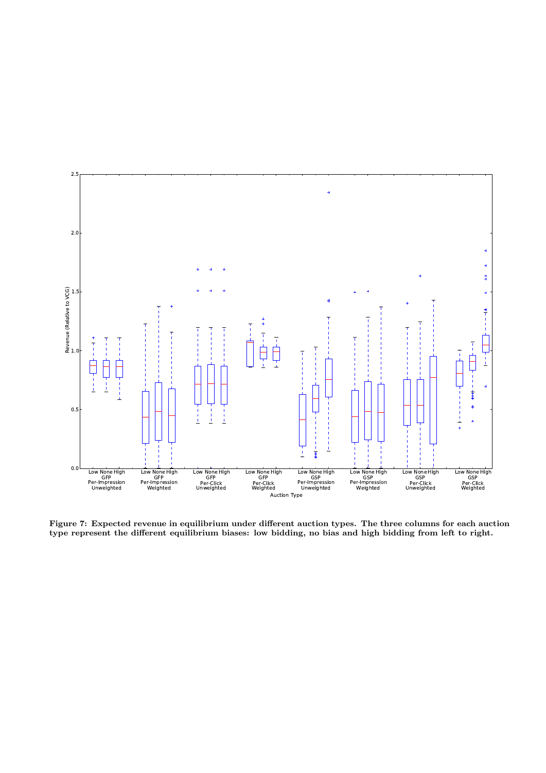

Figure 7: Expected revenue in equilibrium under different auction types. The three columns for each auction type represent the different equilibrium biases: low bidding, no bias and high bidding from left to right.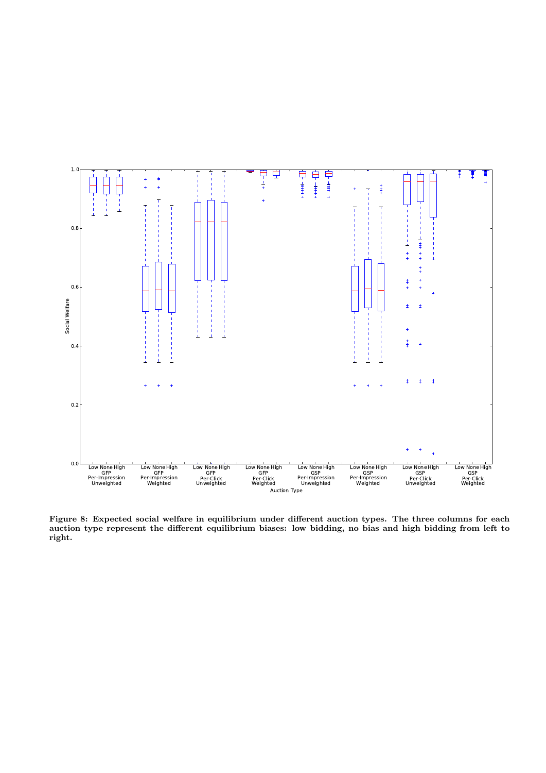

Figure 8: Expected social welfare in equilibrium under different auction types. The three columns for each auction type represent the different equilibrium biases: low bidding, no bias and high bidding from left to right.